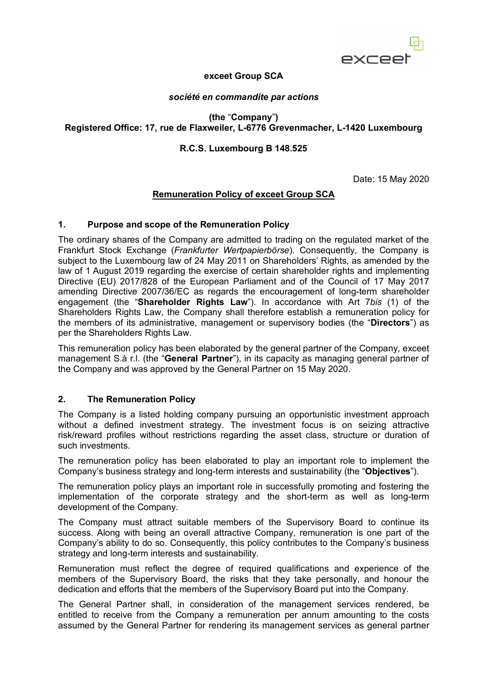

## **exceet Group SCA**

#### *société en commandite par actions*

**(the** "**Company**"**) Registered Office: 17, rue de Flaxweiler, L-6776 Grevenmacher, L-1420 Luxembourg**

# **R.C.S. Luxembourg B 148.525**

Date: 15 May 2020

# **Remuneration Policy of exceet Group SCA**

#### **1. Purpose and scope of the Remuneration Policy**

The ordinary shares of the Company are admitted to trading on the regulated market of the Frankfurt Stock Exchange (*Frankfurter Wertpapierbörse*). Consequently, the Company is subject to the Luxembourg law of 24 May 2011 on Shareholders' Rights, as amended by the law of 1 August 2019 regarding the exercise of certain shareholder rights and implementing Directive (EU) 2017/828 of the European Parliament and of the Council of 17 May 2017 amending Directive 2007/36/EC as regards the encouragement of long-term shareholder engagement (the "**Shareholder Rights Law**"). In accordance with Art 7*bis* (1) of the Shareholders Rights Law, the Company shall therefore establish a remuneration policy for the members of its administrative, management or supervisory bodies (the "**Directors**") as per the Shareholders Rights Law.

This remuneration policy has been elaborated by the general partner of the Company, exceet management S.à r.l. (the "**General Partner**"), in its capacity as managing general partner of the Company and was approved by the General Partner on 15 May 2020.

# **2. The Remuneration Policy**

The Company is a listed holding company pursuing an opportunistic investment approach without a defined investment strategy. The investment focus is on seizing attractive risk/reward profiles without restrictions regarding the asset class, structure or duration of such investments.

The remuneration policy has been elaborated to play an important role to implement the Company's business strategy and long-term interests and sustainability (the "**Objectives**").

The remuneration policy plays an important role in successfully promoting and fostering the implementation of the corporate strategy and the short-term as well as long-term development of the Company.

The Company must attract suitable members of the Supervisory Board to continue its success. Along with being an overall attractive Company, remuneration is one part of the Company's ability to do so. Consequently, this policy contributes to the Company's business strategy and long-term interests and sustainability.

Remuneration must reflect the degree of required qualifications and experience of the members of the Supervisory Board, the risks that they take personally, and honour the dedication and efforts that the members of the Supervisory Board put into the Company.

The General Partner shall, in consideration of the management services rendered, be entitled to receive from the Company a remuneration per annum amounting to the costs assumed by the General Partner for rendering its management services as general partner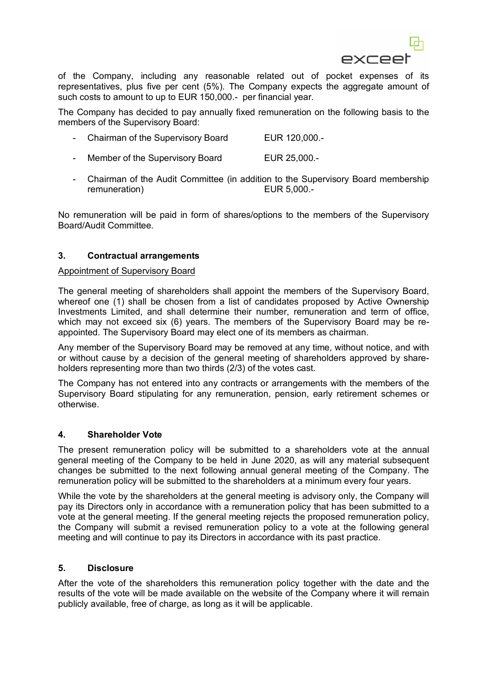

of the Company, including any reasonable related out of pocket expenses of its representatives, plus five per cent (5%). The Company expects the aggregate amount of such costs to amount to up to EUR 150,000.- per financial year.

The Company has decided to pay annually fixed remuneration on the following basis to the members of the Supervisory Board:

- Chairman of the Supervisory Board EUR 120,000.-
- Member of the Supervisory Board EUR 25,000.-
- Chairman of the Audit Committee (in addition to the Supervisory Board membership remuneration) EUR 5,000.-

No remuneration will be paid in form of shares/options to the members of the Supervisory Board/Audit Committee.

## **3. Contractual arrangements**

#### Appointment of Supervisory Board

The general meeting of shareholders shall appoint the members of the Supervisory Board, whereof one (1) shall be chosen from a list of candidates proposed by Active Ownership Investments Limited, and shall determine their number, remuneration and term of office, which may not exceed six (6) years. The members of the Supervisory Board may be reappointed. The Supervisory Board may elect one of its members as chairman.

Any member of the Supervisory Board may be removed at any time, without notice, and with or without cause by a decision of the general meeting of shareholders approved by shareholders representing more than two thirds (2/3) of the votes cast.

The Company has not entered into any contracts or arrangements with the members of the Supervisory Board stipulating for any remuneration, pension, early retirement schemes or otherwise.

#### **4. Shareholder Vote**

The present remuneration policy will be submitted to a shareholders vote at the annual general meeting of the Company to be held in June 2020, as will any material subsequent changes be submitted to the next following annual general meeting of the Company. The remuneration policy will be submitted to the shareholders at a minimum every four years.

While the vote by the shareholders at the general meeting is advisory only, the Company will pay its Directors only in accordance with a remuneration policy that has been submitted to a vote at the general meeting. If the general meeting rejects the proposed remuneration policy, the Company will submit a revised remuneration policy to a vote at the following general meeting and will continue to pay its Directors in accordance with its past practice.

## **5. Disclosure**

After the vote of the shareholders this remuneration policy together with the date and the results of the vote will be made available on the website of the Company where it will remain publicly available, free of charge, as long as it will be applicable.